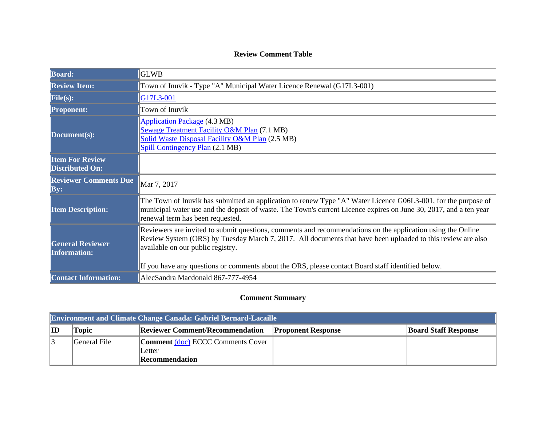## **Review Comment Table**

| <b>Board:</b>                                    | <b>GLWB</b>                                                                                                                                                                                                                                                                                                                                                          |
|--------------------------------------------------|----------------------------------------------------------------------------------------------------------------------------------------------------------------------------------------------------------------------------------------------------------------------------------------------------------------------------------------------------------------------|
| <b>Review Item:</b>                              | Town of Inuvik - Type "A" Municipal Water Licence Renewal (G17L3-001)                                                                                                                                                                                                                                                                                                |
| File(s):                                         | G17L3-001                                                                                                                                                                                                                                                                                                                                                            |
| <b>Proponent:</b>                                | Town of Inuvik                                                                                                                                                                                                                                                                                                                                                       |
| Document(s):                                     | <b>Application Package (4.3 MB)</b><br>Sewage Treatment Facility O&M Plan (7.1 MB)<br>Solid Waste Disposal Facility O&M Plan (2.5 MB)<br>Spill Contingency Plan (2.1 MB)                                                                                                                                                                                             |
| <b>Item For Review</b><br><b>Distributed On:</b> |                                                                                                                                                                                                                                                                                                                                                                      |
| <b>Reviewer Comments Due</b><br>$\mathbf{By:}$   | Mar 7, 2017                                                                                                                                                                                                                                                                                                                                                          |
| <b>Item Description:</b>                         | The Town of Inuvik has submitted an application to renew Type "A" Water Licence G06L3-001, for the purpose of<br>municipal water use and the deposit of waste. The Town's current Licence expires on June 30, 2017, and a ten year<br>renewal term has been requested.                                                                                               |
| <b>General Reviewer</b><br><b>Information:</b>   | Reviewers are invited to submit questions, comments and recommendations on the application using the Online<br>Review System (ORS) by Tuesday March 7, 2017. All documents that have been uploaded to this review are also<br>available on our public registry.<br>If you have any questions or comments about the ORS, please contact Board staff identified below. |
| <b>Contact Information:</b>                      | AlecSandra Macdonald 867-777-4954                                                                                                                                                                                                                                                                                                                                    |

## **Comment Summary**

| <b>Environment and Climate Change Canada: Gabriel Bernard-Lacaille</b> |                                                                                                             |                                          |  |  |  |
|------------------------------------------------------------------------|-------------------------------------------------------------------------------------------------------------|------------------------------------------|--|--|--|
| ID                                                                     | <b>Reviewer Comment/Recommendation</b><br><b>Board Staff Response</b><br><b>Proponent Response</b><br>Fopic |                                          |  |  |  |
|                                                                        | General File                                                                                                | <b>Comment</b> (doc) ECCC Comments Cover |  |  |  |
|                                                                        |                                                                                                             | Letter                                   |  |  |  |
|                                                                        |                                                                                                             | Recommendation                           |  |  |  |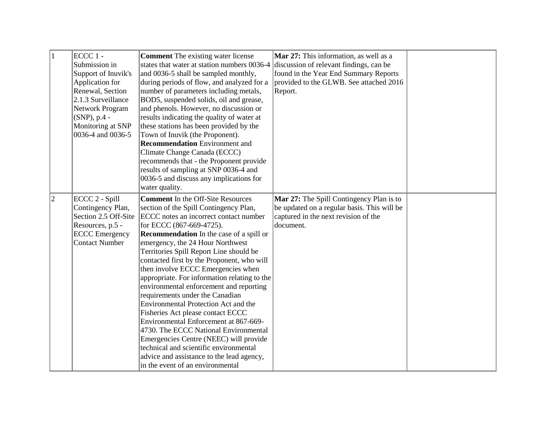| $\vert$ 1   | $ECCC 1 -$<br>Submission in<br>Support of Inuvik's<br>Application for<br>Renewal, Section<br>2.1.3 Surveillance<br>Network Program<br>$(SNP)$ , p.4 -<br>Monitoring at SNP<br>0036-4 and 0036-5 | <b>Comment</b> The existing water license<br>states that water at station numbers 0036-4<br>and 0036-5 shall be sampled monthly,<br>during periods of flow, and analyzed for a<br>number of parameters including metals,<br>BOD5, suspended solids, oil and grease,<br>and phenols. However, no discussion or<br>results indicating the quality of water at<br>these stations has been provided by the<br>Town of Inuvik (the Proponent).<br><b>Recommendation</b> Environment and<br>Climate Change Canada (ECCC)<br>recommends that - the Proponent provide<br>results of sampling at SNP 0036-4 and<br>0036-5 and discuss any implications for<br>water quality.                                                                                                                                                                              | Mar 27: This information, as well as a<br>discussion of relevant findings, can be<br>found in the Year End Summary Reports<br>provided to the GLWB. See attached 2016<br>Report. |  |
|-------------|-------------------------------------------------------------------------------------------------------------------------------------------------------------------------------------------------|--------------------------------------------------------------------------------------------------------------------------------------------------------------------------------------------------------------------------------------------------------------------------------------------------------------------------------------------------------------------------------------------------------------------------------------------------------------------------------------------------------------------------------------------------------------------------------------------------------------------------------------------------------------------------------------------------------------------------------------------------------------------------------------------------------------------------------------------------|----------------------------------------------------------------------------------------------------------------------------------------------------------------------------------|--|
| $ 2\rangle$ | ECCC 2 - Spill<br>Contingency Plan,<br>Section 2.5 Off-Site<br>Resources, p.5 -<br><b>ECCC</b> Emergency<br><b>Contact Number</b>                                                               | <b>Comment</b> In the Off-Site Resources<br>section of the Spill Contingency Plan,<br>ECCC notes an incorrect contact number<br>for ECCC (867-669-4725).<br><b>Recommendation</b> In the case of a spill or<br>emergency, the 24 Hour Northwest<br>Territories Spill Report Line should be<br>contacted first by the Proponent, who will<br>then involve ECCC Emergencies when<br>appropriate. For information relating to the<br>environmental enforcement and reporting<br>requirements under the Canadian<br>Environmental Protection Act and the<br>Fisheries Act please contact ECCC<br>Environmental Enforcement at 867-669-<br>4730. The ECCC National Environmental<br>Emergencies Centre (NEEC) will provide<br>technical and scientific environmental<br>advice and assistance to the lead agency,<br>in the event of an environmental | <b>Mar 27:</b> The Spill Contingency Plan is to<br>be updated on a regular basis. This will be<br>captured in the next revision of the<br>document.                              |  |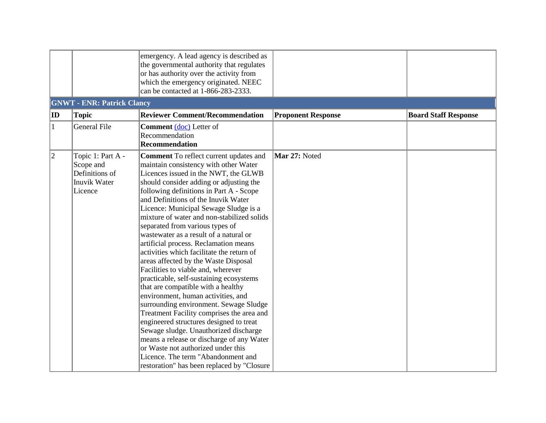|              |                                                                                    | emergency. A lead agency is described as<br>the governmental authority that regulates<br>or has authority over the activity from<br>which the emergency originated. NEEC<br>can be contacted at 1-866-283-2333.                                                                                                                                                                                                                                                                                                                                                                                                                                                                                                                                                                                                                                                                                                                                                                                                                                                              |                           |                             |
|--------------|------------------------------------------------------------------------------------|------------------------------------------------------------------------------------------------------------------------------------------------------------------------------------------------------------------------------------------------------------------------------------------------------------------------------------------------------------------------------------------------------------------------------------------------------------------------------------------------------------------------------------------------------------------------------------------------------------------------------------------------------------------------------------------------------------------------------------------------------------------------------------------------------------------------------------------------------------------------------------------------------------------------------------------------------------------------------------------------------------------------------------------------------------------------------|---------------------------|-----------------------------|
|              | <b>GNWT - ENR: Patrick Clancy</b>                                                  |                                                                                                                                                                                                                                                                                                                                                                                                                                                                                                                                                                                                                                                                                                                                                                                                                                                                                                                                                                                                                                                                              |                           |                             |
| $ $ ID       | <b>Topic</b>                                                                       | <b>Reviewer Comment/Recommendation</b>                                                                                                                                                                                                                                                                                                                                                                                                                                                                                                                                                                                                                                                                                                                                                                                                                                                                                                                                                                                                                                       | <b>Proponent Response</b> | <b>Board Staff Response</b> |
| $\mathbf{1}$ | <b>General File</b>                                                                | Comment (doc) Letter of<br>Recommendation<br><b>Recommendation</b>                                                                                                                                                                                                                                                                                                                                                                                                                                                                                                                                                                                                                                                                                                                                                                                                                                                                                                                                                                                                           |                           |                             |
| $ 2\rangle$  | Topic 1: Part A -<br>Scope and<br>Definitions of<br><b>Inuvik Water</b><br>Licence | <b>Comment</b> To reflect current updates and<br>maintain consistency with other Water<br>Licences issued in the NWT, the GLWB<br>should consider adding or adjusting the<br>following definitions in Part A - Scope<br>and Definitions of the Inuvik Water<br>Licence: Municipal Sewage Sludge is a<br>mixture of water and non-stabilized solids<br>separated from various types of<br>wastewater as a result of a natural or<br>artificial process. Reclamation means<br>activities which facilitate the return of<br>areas affected by the Waste Disposal<br>Facilities to viable and, wherever<br>practicable, self-sustaining ecosystems<br>that are compatible with a healthy<br>environment, human activities, and<br>surrounding environment. Sewage Sludge<br>Treatment Facility comprises the area and<br>engineered structures designed to treat<br>Sewage sludge. Unauthorized discharge<br>means a release or discharge of any Water<br>or Waste not authorized under this<br>Licence. The term "Abandonment and<br>restoration" has been replaced by "Closure | Mar 27: Noted             |                             |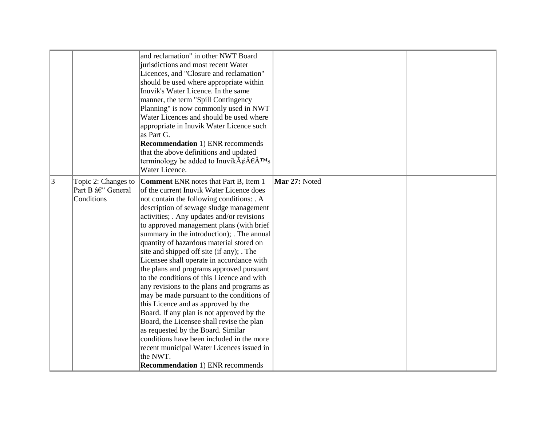|           |                                                       | and reclamation" in other NWT Board<br>jurisdictions and most recent Water<br>Licences, and "Closure and reclamation"<br>should be used where appropriate within<br>Inuvik's Water Licence. In the same<br>manner, the term "Spill Contingency<br>Planning" is now commonly used in NWT<br>Water Licences and should be used where<br>appropriate in Inuvik Water Licence such<br>as Part G.<br><b>Recommendation 1) ENR recommends</b><br>that the above definitions and updated<br>terminology be added to Inuvik $\tilde{A}\xi \hat{A} \epsilon \hat{A}^{TM} s$<br>Water Licence.                                                                                                                                                                                                                                                                                                                                                                                    |               |  |
|-----------|-------------------------------------------------------|-------------------------------------------------------------------------------------------------------------------------------------------------------------------------------------------------------------------------------------------------------------------------------------------------------------------------------------------------------------------------------------------------------------------------------------------------------------------------------------------------------------------------------------------------------------------------------------------------------------------------------------------------------------------------------------------------------------------------------------------------------------------------------------------------------------------------------------------------------------------------------------------------------------------------------------------------------------------------|---------------|--|
| $\vert$ 3 | Topic 2: Changes to<br>Part B – General<br>Conditions | <b>Comment ENR notes that Part B, Item 1</b><br>of the current Inuvik Water Licence does<br>not contain the following conditions: . A<br>description of sewage sludge management<br>activities; Any updates and/or revisions<br>to approved management plans (with brief<br>summary in the introduction); . The annual<br>quantity of hazardous material stored on<br>site and shipped off site (if any); The<br>Licensee shall operate in accordance with<br>the plans and programs approved pursuant<br>to the conditions of this Licence and with<br>any revisions to the plans and programs as<br>may be made pursuant to the conditions of<br>this Licence and as approved by the<br>Board. If any plan is not approved by the<br>Board, the Licensee shall revise the plan<br>as requested by the Board. Similar<br>conditions have been included in the more<br>recent municipal Water Licences issued in<br>the NWT.<br><b>Recommendation 1) ENR recommends</b> | Mar 27: Noted |  |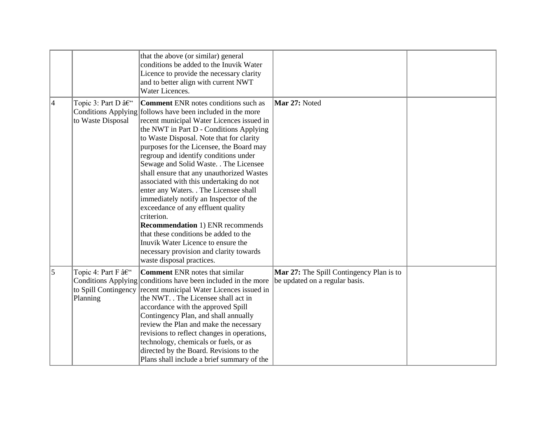|                |                                        | that the above (or similar) general<br>conditions be added to the Inuvik Water<br>Licence to provide the necessary clarity<br>and to better align with current NWT<br>Water Licences.                                                                                                                                                                                                                                                                                                                                                                                                                                                                                                                                                                                                                        |                                                                                   |  |
|----------------|----------------------------------------|--------------------------------------------------------------------------------------------------------------------------------------------------------------------------------------------------------------------------------------------------------------------------------------------------------------------------------------------------------------------------------------------------------------------------------------------------------------------------------------------------------------------------------------------------------------------------------------------------------------------------------------------------------------------------------------------------------------------------------------------------------------------------------------------------------------|-----------------------------------------------------------------------------------|--|
| 4              | Topic 3: Part D –<br>to Waste Disposal | <b>Comment</b> ENR notes conditions such as<br>Conditions Applying follows have been included in the more<br>recent municipal Water Licences issued in<br>the NWT in Part D - Conditions Applying<br>to Waste Disposal. Note that for clarity<br>purposes for the Licensee, the Board may<br>regroup and identify conditions under<br>Sewage and Solid Waste. . The Licensee<br>shall ensure that any unauthorized Wastes<br>associated with this undertaking do not<br>enter any Waters. The Licensee shall<br>immediately notify an Inspector of the<br>exceedance of any effluent quality<br>criterion.<br><b>Recommendation 1) ENR recommends</b><br>that these conditions be added to the<br>Inuvik Water Licence to ensure the<br>necessary provision and clarity towards<br>waste disposal practices. | Mar 27: Noted                                                                     |  |
| $\overline{5}$ | Topic 4: Part F –<br>Planning          | <b>Comment</b> ENR notes that similar<br>Conditions Applying conditions have been included in the more<br>to Spill Contingency recent municipal Water Licences issued in<br>the NWT. . The Licensee shall act in<br>accordance with the approved Spill<br>Contingency Plan, and shall annually<br>review the Plan and make the necessary<br>revisions to reflect changes in operations,<br>technology, chemicals or fuels, or as<br>directed by the Board. Revisions to the<br>Plans shall include a brief summary of the                                                                                                                                                                                                                                                                                    | <b>Mar 27:</b> The Spill Contingency Plan is to<br>be updated on a regular basis. |  |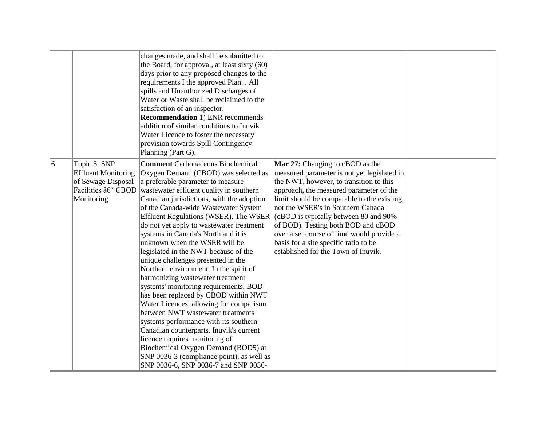|    |                                                                                | changes made, and shall be submitted to<br>the Board, for approval, at least sixty (60)<br>days prior to any proposed changes to the<br>requirements I the approved Plan. . All<br>spills and Unauthorized Discharges of<br>Water or Waste shall be reclaimed to the<br>satisfaction of an inspector.<br><b>Recommendation 1) ENR recommends</b><br>addition of similar conditions to Inuvik<br>Water Licence to foster the necessary<br>provision towards Spill Contingency<br>Planning (Part G).                                                                                                                                                                                                                                                                                                                                                                                                                                                                                                                             |                                                                                                                                                                                                                                                                                                                                                                                                                                                                                  |  |
|----|--------------------------------------------------------------------------------|--------------------------------------------------------------------------------------------------------------------------------------------------------------------------------------------------------------------------------------------------------------------------------------------------------------------------------------------------------------------------------------------------------------------------------------------------------------------------------------------------------------------------------------------------------------------------------------------------------------------------------------------------------------------------------------------------------------------------------------------------------------------------------------------------------------------------------------------------------------------------------------------------------------------------------------------------------------------------------------------------------------------------------|----------------------------------------------------------------------------------------------------------------------------------------------------------------------------------------------------------------------------------------------------------------------------------------------------------------------------------------------------------------------------------------------------------------------------------------------------------------------------------|--|
| 16 | Topic 5: SNP<br><b>Effluent Monitoring</b><br>of Sewage Disposal<br>Monitoring | <b>Comment</b> Carbonaceous Biochemical<br>Oxygen Demand (CBOD) was selected as<br>a preferable parameter to measure<br>Facilities $\hat{a} \in CBOD$ wastewater effluent quality in southern<br>Canadian jurisdictions, with the adoption<br>of the Canada-wide Wastewater System<br>Effluent Regulations (WSER). The WSER<br>do not yet apply to wastewater treatment<br>systems in Canada's North and it is<br>unknown when the WSER will be<br>legislated in the NWT because of the<br>unique challenges presented in the<br>Northern environment. In the spirit of<br>harmonizing wastewater treatment<br>systems' monitoring requirements, BOD<br>has been replaced by CBOD within NWT<br>Water Licences, allowing for comparison<br>between NWT wastewater treatments<br>systems performance with its southern<br>Canadian counterparts. Inuvik's current<br>licence requires monitoring of<br>Biochemical Oxygen Demand (BOD5) at<br>SNP 0036-3 (compliance point), as well as<br>SNP 0036-6, SNP 0036-7 and SNP 0036- | <b>Mar 27:</b> Changing to cBOD as the<br>measured parameter is not yet legislated in<br>the NWT, however, to transition to this<br>approach, the measured parameter of the<br>limit should be comparable to the existing,<br>not the WSER's in Southern Canada<br>$ $ (cBOD is typically between 80 and 90%)<br>of BOD). Testing both BOD and cBOD<br>over a set course of time would provide a<br>basis for a site specific ratio to be<br>established for the Town of Inuvik. |  |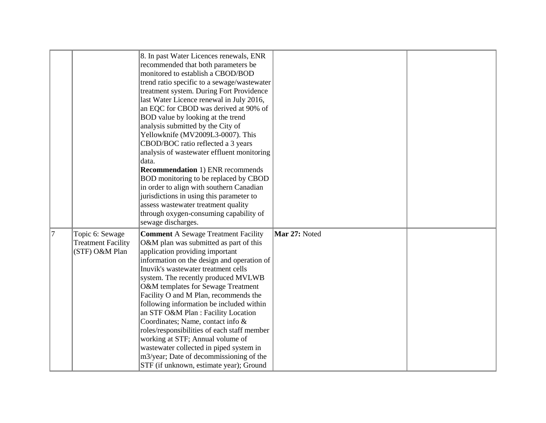|    |                                                                | 8. In past Water Licences renewals, ENR<br>recommended that both parameters be<br>monitored to establish a CBOD/BOD<br>trend ratio specific to a sewage/wastewater<br>treatment system. During Fort Providence<br>last Water Licence renewal in July 2016,<br>an EQC for CBOD was derived at 90% of<br>BOD value by looking at the trend<br>analysis submitted by the City of<br>Yellowknife (MV2009L3-0007). This<br>CBOD/BOC ratio reflected a 3 years<br>analysis of wastewater effluent monitoring<br>data.<br><b>Recommendation 1) ENR recommends</b><br>BOD monitoring to be replaced by CBOD<br>in order to align with southern Canadian<br>jurisdictions in using this parameter to<br>assess wastewater treatment quality<br>through oxygen-consuming capability of |               |  |
|----|----------------------------------------------------------------|------------------------------------------------------------------------------------------------------------------------------------------------------------------------------------------------------------------------------------------------------------------------------------------------------------------------------------------------------------------------------------------------------------------------------------------------------------------------------------------------------------------------------------------------------------------------------------------------------------------------------------------------------------------------------------------------------------------------------------------------------------------------------|---------------|--|
| 17 | Topic 6: Sewage<br><b>Treatment Facility</b><br>(STF) O&M Plan | sewage discharges.<br><b>Comment A Sewage Treatment Facility</b><br>O&M plan was submitted as part of this<br>application providing important<br>information on the design and operation of<br>Inuvik's wastewater treatment cells<br>system. The recently produced MVLWB<br>O&M templates for Sewage Treatment<br>Facility O and M Plan, recommends the<br>following information be included within<br>an STF O&M Plan : Facility Location<br>Coordinates; Name, contact info &<br>roles/responsibilities of each staff member<br>working at STF; Annual volume of<br>wastewater collected in piped system in<br>m3/year; Date of decommissioning of the<br>STF (if unknown, estimate year); Ground                                                                         | Mar 27: Noted |  |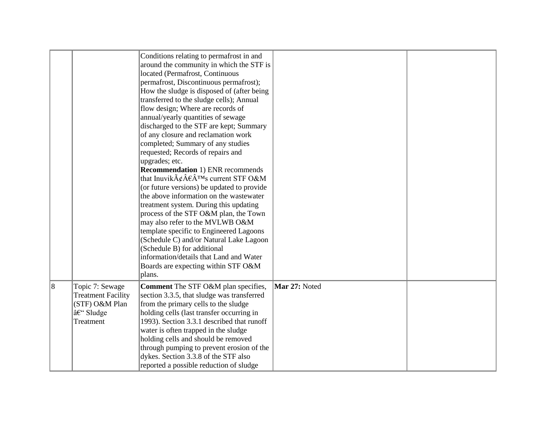|   |                                                                                         | Conditions relating to permafrost in and<br>around the community in which the STF is<br>located (Permafrost, Continuous<br>permafrost, Discontinuous permafrost);<br>How the sludge is disposed of (after being)<br>transferred to the sludge cells); Annual<br>flow design; Where are records of<br>annual/yearly quantities of sewage<br>discharged to the STF are kept; Summary<br>of any closure and reclamation work<br>completed; Summary of any studies<br>requested; Records of repairs and<br>upgrades; etc.<br><b>Recommendation 1) ENR recommends</b><br>that Inuvik $\tilde{A}\xi \hat{A} \in \hat{A}^{TM}$ s current STF O&M<br>(or future versions) be updated to provide<br>the above information on the wastewater<br>treatment system. During this updating<br>process of the STF O&M plan, the Town<br>may also refer to the MVLWB O&M<br>template specific to Engineered Lagoons<br>(Schedule C) and/or Natural Lake Lagoon<br>(Schedule B) for additional<br>information/details that Land and Water<br>Boards are expecting within STF O&M<br>plans. |               |  |
|---|-----------------------------------------------------------------------------------------|---------------------------------------------------------------------------------------------------------------------------------------------------------------------------------------------------------------------------------------------------------------------------------------------------------------------------------------------------------------------------------------------------------------------------------------------------------------------------------------------------------------------------------------------------------------------------------------------------------------------------------------------------------------------------------------------------------------------------------------------------------------------------------------------------------------------------------------------------------------------------------------------------------------------------------------------------------------------------------------------------------------------------------------------------------------------------|---------------|--|
| 8 | Topic 7: Sewage<br><b>Treatment Facility</b><br>(STF) O&M Plan<br>– Sludge<br>Treatment | <b>Comment</b> The STF O&M plan specifies,<br>section 3.3.5, that sludge was transferred<br>from the primary cells to the sludge<br>holding cells (last transfer occurring in<br>1993). Section 3.3.1 described that runoff<br>water is often trapped in the sludge<br>holding cells and should be removed<br>through pumping to prevent erosion of the<br>dykes. Section 3.3.8 of the STF also<br>reported a possible reduction of sludge                                                                                                                                                                                                                                                                                                                                                                                                                                                                                                                                                                                                                                | Mar 27: Noted |  |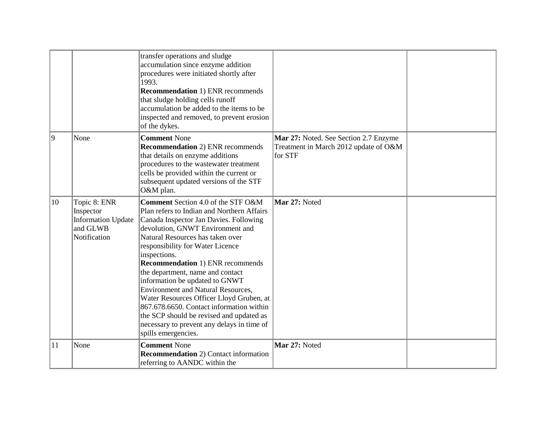|    |                                                                                    | transfer operations and sludge<br>accumulation since enzyme addition<br>procedures were initiated shortly after<br>1993.<br><b>Recommendation 1) ENR recommends</b><br>that sludge holding cells runoff<br>accumulation be added to the items to be<br>inspected and removed, to prevent erosion<br>of the dykes.                                                                                                                                                                                                                                                                                                             |                                                                                           |  |
|----|------------------------------------------------------------------------------------|-------------------------------------------------------------------------------------------------------------------------------------------------------------------------------------------------------------------------------------------------------------------------------------------------------------------------------------------------------------------------------------------------------------------------------------------------------------------------------------------------------------------------------------------------------------------------------------------------------------------------------|-------------------------------------------------------------------------------------------|--|
| 9  | None                                                                               | <b>Comment None</b><br><b>Recommendation</b> 2) ENR recommends<br>that details on enzyme additions<br>procedures to the wastewater treatment<br>cells be provided within the current or<br>subsequent updated versions of the STF<br>O&M plan.                                                                                                                                                                                                                                                                                                                                                                                | Mar 27: Noted. See Section 2.7 Enzyme<br>Treatment in March 2012 update of O&M<br>for STF |  |
| 10 | Topic 8: ENR<br>Inspector<br><b>Information Update</b><br>and GLWB<br>Notification | <b>Comment</b> Section 4.0 of the STF O&M<br>Plan refers to Indian and Northern Affairs<br>Canada Inspector Jan Davies. Following<br>devolution, GNWT Environment and<br>Natural Resources has taken over<br>responsibility for Water Licence<br>inspections.<br><b>Recommendation 1) ENR recommends</b><br>the department, name and contact<br>information be updated to GNWT<br>Environment and Natural Resources,<br>Water Resources Officer Lloyd Gruben, at<br>867.678.6650. Contact information within<br>the SCP should be revised and updated as<br>necessary to prevent any delays in time of<br>spills emergencies. | Mar 27: Noted                                                                             |  |
| 11 | None                                                                               | <b>Comment None</b><br><b>Recommendation</b> 2) Contact information<br>referring to AANDC within the                                                                                                                                                                                                                                                                                                                                                                                                                                                                                                                          | Mar 27: Noted                                                                             |  |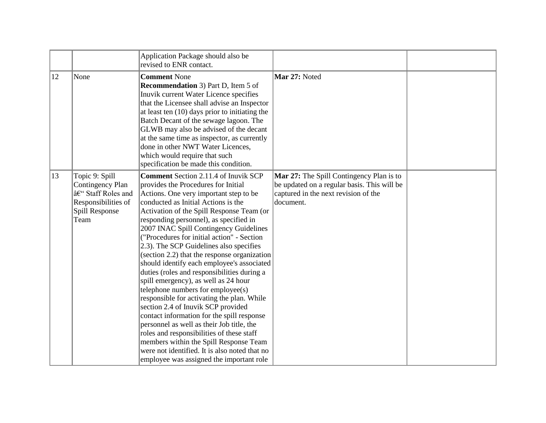|    |                                                                                                          | Application Package should also be<br>revised to ENR contact.                                                                                                                                                                                                                                                                                                                                                                                                                                                                                                                                                                                                                                                                                                                                                                                                                                                                                                                              |                                                                                                                                              |  |
|----|----------------------------------------------------------------------------------------------------------|--------------------------------------------------------------------------------------------------------------------------------------------------------------------------------------------------------------------------------------------------------------------------------------------------------------------------------------------------------------------------------------------------------------------------------------------------------------------------------------------------------------------------------------------------------------------------------------------------------------------------------------------------------------------------------------------------------------------------------------------------------------------------------------------------------------------------------------------------------------------------------------------------------------------------------------------------------------------------------------------|----------------------------------------------------------------------------------------------------------------------------------------------|--|
| 12 | None                                                                                                     | <b>Comment None</b><br><b>Recommendation</b> 3) Part D, Item 5 of<br>Inuvik current Water Licence specifies<br>that the Licensee shall advise an Inspector<br>at least ten $(10)$ days prior to initiating the<br>Batch Decant of the sewage lagoon. The<br>GLWB may also be advised of the decant<br>at the same time as inspector, as currently<br>done in other NWT Water Licences,<br>which would require that such<br>specification be made this condition.                                                                                                                                                                                                                                                                                                                                                                                                                                                                                                                           | Mar 27: Noted                                                                                                                                |  |
| 13 | Topic 9: Spill<br>Contingency Plan<br>– Staff Roles and<br>Responsibilities of<br>Spill Response<br>Team | <b>Comment</b> Section 2.11.4 of Inuvik SCP<br>provides the Procedures for Initial<br>Actions. One very important step to be<br>conducted as Initial Actions is the<br>Activation of the Spill Response Team (or<br>responding personnel), as specified in<br>2007 INAC Spill Contingency Guidelines<br>("Procedures for initial action" - Section<br>2.3). The SCP Guidelines also specifies<br>(section 2.2) that the response organization<br>should identify each employee's associated<br>duties (roles and responsibilities during a<br>spill emergency), as well as 24 hour<br>telephone numbers for employee(s)<br>responsible for activating the plan. While<br>section 2.4 of Inuvik SCP provided<br>contact information for the spill response<br>personnel as well as their Job title, the<br>roles and responsibilities of these staff<br>members within the Spill Response Team<br>were not identified. It is also noted that no<br>employee was assigned the important role | Mar 27: The Spill Contingency Plan is to<br>be updated on a regular basis. This will be<br>captured in the next revision of the<br>document. |  |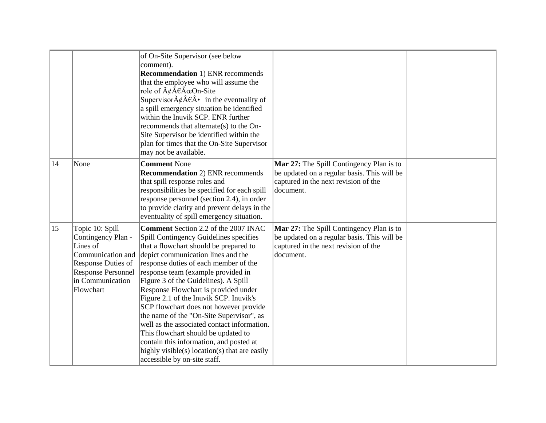|    |                                                                                                                               | of On-Site Supervisor (see below<br>comment).<br><b>Recommendation 1) ENR recommends</b><br>that the employee who will assume the<br>role of $\tilde{A}\xi \hat{A} \xi \hat{A} \in \Omega$ n-Site<br>Supervisor $\tilde{A}\xi \hat{A}\xi \hat{A}$ in the eventuality of<br>a spill emergency situation be identified<br>within the Inuvik SCP. ENR further<br>recommends that alternate(s) to the On-<br>Site Supervisor be identified within the<br>plan for times that the On-Site Supervisor<br>may not be available.                                                                                                                                                                                            |                                                                                                                                              |  |
|----|-------------------------------------------------------------------------------------------------------------------------------|---------------------------------------------------------------------------------------------------------------------------------------------------------------------------------------------------------------------------------------------------------------------------------------------------------------------------------------------------------------------------------------------------------------------------------------------------------------------------------------------------------------------------------------------------------------------------------------------------------------------------------------------------------------------------------------------------------------------|----------------------------------------------------------------------------------------------------------------------------------------------|--|
| 14 | None                                                                                                                          | <b>Comment None</b><br><b>Recommendation</b> 2) ENR recommends<br>that spill response roles and<br>responsibilities be specified for each spill<br>response personnel (section 2.4), in order<br>to provide clarity and prevent delays in the<br>eventuality of spill emergency situation.                                                                                                                                                                                                                                                                                                                                                                                                                          | Mar 27: The Spill Contingency Plan is to<br>be updated on a regular basis. This will be<br>captured in the next revision of the<br>document. |  |
| 15 | Topic 10: Spill<br>Contingency Plan -<br>Lines of<br>Communication and<br>Response Duties of<br>in Communication<br>Flowchart | <b>Comment Section 2.2 of the 2007 INAC</b><br>Spill Contingency Guidelines specifies<br>that a flowchart should be prepared to<br>depict communication lines and the<br>response duties of each member of the<br>Response Personnel   response team (example provided in<br>Figure 3 of the Guidelines). A Spill<br>Response Flowchart is provided under<br>Figure 2.1 of the Inuvik SCP. Inuvik's<br>SCP flowchart does not however provide<br>the name of the "On-Site Supervisor", as<br>well as the associated contact information.<br>This flowchart should be updated to<br>contain this information, and posted at<br>highly visible( $s$ ) location( $s$ ) that are easily<br>accessible by on-site staff. | Mar 27: The Spill Contingency Plan is to<br>be updated on a regular basis. This will be<br>captured in the next revision of the<br>document. |  |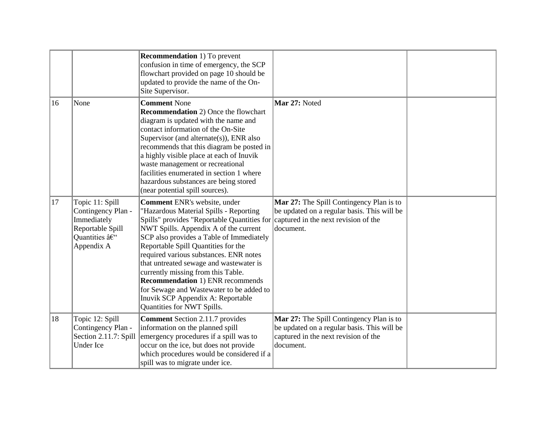|              |                                                                                                        | <b>Recommendation</b> 1) To prevent<br>confusion in time of emergency, the SCP<br>flowchart provided on page 10 should be<br>updated to provide the name of the On-<br>Site Supervisor.                                                                                                                                                                                                                                                                                                                                                                                     |                                                                                                                                              |  |
|--------------|--------------------------------------------------------------------------------------------------------|-----------------------------------------------------------------------------------------------------------------------------------------------------------------------------------------------------------------------------------------------------------------------------------------------------------------------------------------------------------------------------------------------------------------------------------------------------------------------------------------------------------------------------------------------------------------------------|----------------------------------------------------------------------------------------------------------------------------------------------|--|
| $ 16\rangle$ | None                                                                                                   | <b>Comment None</b><br><b>Recommendation</b> 2) Once the flowchart<br>diagram is updated with the name and<br>contact information of the On-Site<br>Supervisor (and alternate(s)), ENR also<br>recommends that this diagram be posted in<br>a highly visible place at each of Inuvik<br>waste management or recreational<br>facilities enumerated in section 1 where<br>hazardous substances are being stored<br>(near potential spill sources).                                                                                                                            | Mar 27: Noted                                                                                                                                |  |
| $ 17\rangle$ | Topic 11: Spill<br>Contingency Plan -<br>Immediately<br>Reportable Spill<br>Quantities –<br>Appendix A | Comment ENR's website, under<br>"Hazardous Material Spills - Reporting<br>Spills" provides "Reportable Quantities for captured in the next revision of the<br>NWT Spills. Appendix A of the current<br>SCP also provides a Table of Immediately<br>Reportable Spill Quantities for the<br>required various substances. ENR notes<br>that untreated sewage and wastewater is<br>currently missing from this Table.<br><b>Recommendation 1) ENR recommends</b><br>for Sewage and Wastewater to be added to<br>Inuvik SCP Appendix A: Reportable<br>Quantities for NWT Spills. | Mar 27: The Spill Contingency Plan is to<br>be updated on a regular basis. This will be<br>document.                                         |  |
| 18           | Topic 12: Spill<br>Contingency Plan -<br>Section 2.11.7: Spill<br>Under Ice                            | <b>Comment Section 2.11.7 provides</b><br>information on the planned spill<br>emergency procedures if a spill was to<br>occur on the ice, but does not provide<br>which procedures would be considered if a<br>spill was to migrate under ice.                                                                                                                                                                                                                                                                                                                              | Mar 27: The Spill Contingency Plan is to<br>be updated on a regular basis. This will be<br>captured in the next revision of the<br>document. |  |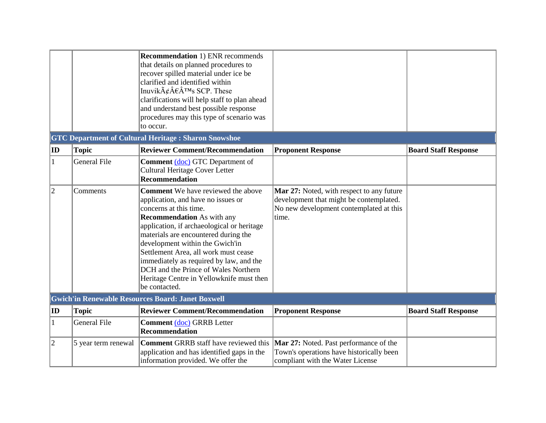|             |                     | <b>Recommendation 1) ENR recommends</b><br>that details on planned procedures to<br>recover spilled material under ice be<br>clarified and identified within<br>Inuvik $\tilde{A}\xi \hat{A} \in \hat{A}^{TM}$ s SCP. These<br>clarifications will help staff to plan ahead<br>and understand best possible response<br>procedures may this type of scenario was<br>to occur.                                                                                   |                                                                                                                                          |                             |
|-------------|---------------------|-----------------------------------------------------------------------------------------------------------------------------------------------------------------------------------------------------------------------------------------------------------------------------------------------------------------------------------------------------------------------------------------------------------------------------------------------------------------|------------------------------------------------------------------------------------------------------------------------------------------|-----------------------------|
|             |                     | <b>GTC Department of Cultural Heritage: Sharon Snowshoe</b>                                                                                                                                                                                                                                                                                                                                                                                                     |                                                                                                                                          |                             |
| $ $ ID      | <b>Topic</b>        | <b>Reviewer Comment/Recommendation</b>                                                                                                                                                                                                                                                                                                                                                                                                                          | <b>Proponent Response</b>                                                                                                                | <b>Board Staff Response</b> |
| 1           | <b>General File</b> | <b>Comment</b> (doc) GTC Department of<br><b>Cultural Heritage Cover Letter</b><br><b>Recommendation</b>                                                                                                                                                                                                                                                                                                                                                        |                                                                                                                                          |                             |
| $ 2\rangle$ | Comments            | <b>Comment</b> We have reviewed the above<br>application, and have no issues or<br>concerns at this time.<br><b>Recommendation</b> As with any<br>application, if archaeological or heritage<br>materials are encountered during the<br>development within the Gwich'in<br>Settlement Area, all work must cease<br>immediately as required by law, and the<br>DCH and the Prince of Wales Northern<br>Heritage Centre in Yellowknife must then<br>be contacted. | Mar 27: Noted, with respect to any future<br>development that might be contemplated.<br>No new development contemplated at this<br>time. |                             |
|             |                     | <b>Gwich'in Renewable Resources Board: Janet Boxwell</b>                                                                                                                                                                                                                                                                                                                                                                                                        |                                                                                                                                          |                             |
| $ $ ID      | <b>Topic</b>        | <b>Reviewer Comment/Recommendation</b>                                                                                                                                                                                                                                                                                                                                                                                                                          | <b>Proponent Response</b>                                                                                                                | <b>Board Staff Response</b> |
| 1           | <b>General File</b> | <b>Comment</b> (doc) GRRB Letter<br><b>Recommendation</b>                                                                                                                                                                                                                                                                                                                                                                                                       |                                                                                                                                          |                             |
| $ 2\rangle$ | 5 year term renewal | <b>Comment GRRB</b> staff have reviewed this<br>application and has identified gaps in the<br>information provided. We offer the                                                                                                                                                                                                                                                                                                                                | Mar 27: Noted. Past performance of the<br>Town's operations have historically been<br>compliant with the Water License                   |                             |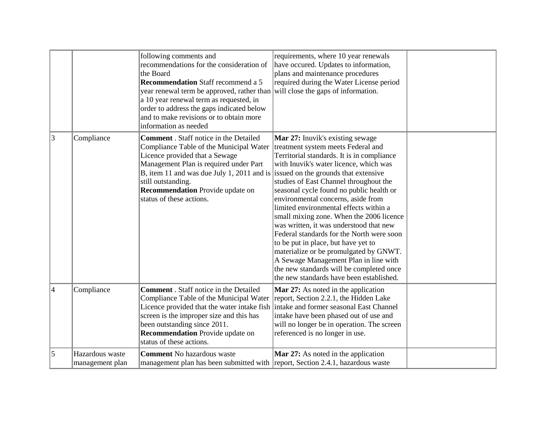|                |                                    | following comments and<br>recommendations for the consideration of<br>the Board<br><b>Recommendation</b> Staff recommend a 5<br>year renewal term be approved, rather than will close the gaps of information.<br>a 10 year renewal term as requested, in<br>order to address the gaps indicated below<br>and to make revisions or to obtain more<br>information as needed | requirements, where 10 year renewals<br>have occured. Updates to information,<br>plans and maintenance procedures<br>required during the Water License period                                                                                                                                                                                                                                                                                                                                                                                                                                                                                                                                     |  |
|----------------|------------------------------------|----------------------------------------------------------------------------------------------------------------------------------------------------------------------------------------------------------------------------------------------------------------------------------------------------------------------------------------------------------------------------|---------------------------------------------------------------------------------------------------------------------------------------------------------------------------------------------------------------------------------------------------------------------------------------------------------------------------------------------------------------------------------------------------------------------------------------------------------------------------------------------------------------------------------------------------------------------------------------------------------------------------------------------------------------------------------------------------|--|
| $ 3\rangle$    | Compliance                         | <b>Comment</b> . Staff notice in the Detailed<br>Compliance Table of the Municipal Water<br>Licence provided that a Sewage<br>Management Plan is required under Part<br>B, item 11 and was due July 1, 2011 and is issued on the grounds that extensive<br>still outstanding.<br><b>Recommendation</b> Provide update on<br>status of these actions.                       | <b>Mar 27:</b> Inuvik's existing sewage<br>treatment system meets Federal and<br>Territorial standards. It is in compliance<br>with Inuvik's water licence, which was<br>studies of East Channel throughout the<br>seasonal cycle found no public health or<br>environmental concerns, aside from<br>limited environmental effects within a<br>small mixing zone. When the 2006 licence<br>was written, it was understood that new<br>Federal standards for the North were soon<br>to be put in place, but have yet to<br>materialize or be promulgated by GNWT.<br>A Sewage Management Plan in line with<br>the new standards will be completed once<br>the new standards have been established. |  |
| $\overline{4}$ | Compliance                         | <b>Comment</b> . Staff notice in the Detailed<br>Compliance Table of the Municipal Water<br>Licence provided that the water intake fish<br>screen is the improper size and this has<br>been outstanding since 2011.<br><b>Recommendation</b> Provide update on<br>status of these actions.                                                                                 | <b>Mar 27:</b> As noted in the application<br>report, Section 2.2.1, the Hidden Lake<br>intake and former seasonal East Channel<br>intake have been phased out of use and<br>will no longer be in operation. The screen<br>referenced is no longer in use.                                                                                                                                                                                                                                                                                                                                                                                                                                        |  |
| 5              | Hazardous waste<br>management plan | <b>Comment</b> No hazardous waste<br>management plan has been submitted with report, Section 2.4.1, hazardous waste                                                                                                                                                                                                                                                        | <b>Mar 27:</b> As noted in the application                                                                                                                                                                                                                                                                                                                                                                                                                                                                                                                                                                                                                                                        |  |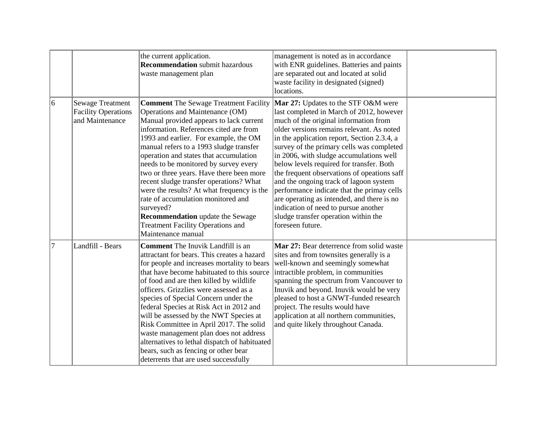|                |                                                                          | the current application.<br><b>Recommendation</b> submit hazardous<br>waste management plan                                                                                                                                                                                                                                                                                                                                                                                                                                                                                                                                                      | management is noted as in accordance<br>with ENR guidelines. Batteries and paints<br>are separated out and located at solid<br>waste facility in designated (signed)<br>locations.                                                                                                                                                                                                                                                                                                                                                                                                                                                                |  |
|----------------|--------------------------------------------------------------------------|--------------------------------------------------------------------------------------------------------------------------------------------------------------------------------------------------------------------------------------------------------------------------------------------------------------------------------------------------------------------------------------------------------------------------------------------------------------------------------------------------------------------------------------------------------------------------------------------------------------------------------------------------|---------------------------------------------------------------------------------------------------------------------------------------------------------------------------------------------------------------------------------------------------------------------------------------------------------------------------------------------------------------------------------------------------------------------------------------------------------------------------------------------------------------------------------------------------------------------------------------------------------------------------------------------------|--|
| 6              | <b>Sewage Treatment</b><br><b>Facility Operations</b><br>and Maintenance | <b>Comment</b> The Sewage Treatment Facility<br>Operations and Maintenance (OM)<br>Manual provided appears to lack current<br>information. References cited are from<br>1993 and earlier. For example, the OM<br>manual refers to a 1993 sludge transfer<br>operation and states that accumulation<br>needs to be monitored by survey every<br>two or three years. Have there been more<br>recent sludge transfer operations? What<br>were the results? At what frequency is the<br>rate of accumulation monitored and<br>surveyed?<br><b>Recommendation</b> update the Sewage<br><b>Treatment Facility Operations and</b><br>Maintenance manual | Mar 27: Updates to the STF O&M were<br>last completed in March of 2012, however<br>much of the original information from<br>older versions remains relevant. As noted<br>in the application report, Section 2.3.4, a<br>survey of the primary cells was completed<br>in 2006, with sludge accumulations well<br>below levels required for transfer. Both<br>the frequent observations of opeations saff<br>and the ongoing track of lagoon system<br>performance indicate that the primay cells<br>are operating as intended, and there is no<br>indication of need to pursue another<br>sludge transfer operation within the<br>foreseen future. |  |
| $\overline{7}$ | Landfill - Bears                                                         | <b>Comment</b> The Inuvik Landfill is an<br>attractant for bears. This creates a hazard<br>for people and increases mortality to bears<br>that have become habituated to this source<br>of food and are then killed by wildlife<br>officers. Grizzlies were assessed as a<br>species of Special Concern under the<br>federal Species at Risk Act in 2012 and<br>will be assessed by the NWT Species at<br>Risk Committee in April 2017. The solid<br>waste management plan does not address<br>alternatives to lethal dispatch of habituated<br>bears, such as fencing or other bear<br>deterrents that are used successfully                    | Mar 27: Bear deterrence from solid waste<br>sites and from townsites generally is a<br>well-known and seemingly somewhat<br>intractible problem, in communities<br>spanning the spectrum from Vancouver to<br>Inuvik and beyond. Inuvik would be very<br>pleased to host a GNWT-funded research<br>project. The results would have<br>application at all northern communities,<br>and quite likely throughout Canada.                                                                                                                                                                                                                             |  |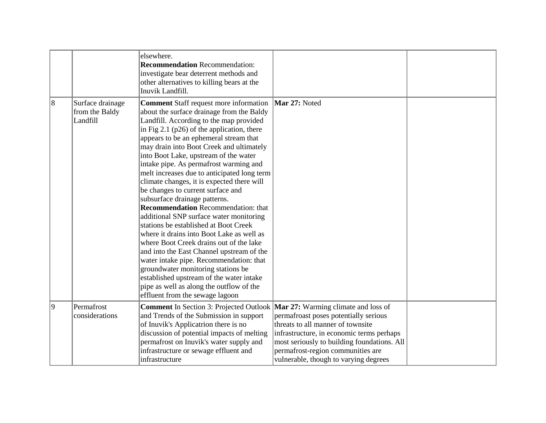|                |                                                | elsewhere.<br><b>Recommendation</b> Recommendation:<br>investigate bear deterrent methods and<br>other alternatives to killing bears at the<br>Inuvik Landfill.                                                                                                                                                                                                                                                                                                                                                                                                                                                                                                                                                                                                                                                                                                                                                                                                                                                        |                                                                                                                                                                                                                                                      |  |
|----------------|------------------------------------------------|------------------------------------------------------------------------------------------------------------------------------------------------------------------------------------------------------------------------------------------------------------------------------------------------------------------------------------------------------------------------------------------------------------------------------------------------------------------------------------------------------------------------------------------------------------------------------------------------------------------------------------------------------------------------------------------------------------------------------------------------------------------------------------------------------------------------------------------------------------------------------------------------------------------------------------------------------------------------------------------------------------------------|------------------------------------------------------------------------------------------------------------------------------------------------------------------------------------------------------------------------------------------------------|--|
| $\overline{8}$ | Surface drainage<br>from the Baldy<br>Landfill | <b>Comment</b> Staff request more information<br>about the surface drainage from the Baldy<br>Landfill. According to the map provided<br>in Fig 2.1 ( $p26$ ) of the application, there<br>appears to be an ephemeral stream that<br>may drain into Boot Creek and ultimately<br>into Boot Lake, upstream of the water<br>intake pipe. As permafrost warming and<br>melt increases due to anticipated long term<br>climate changes, it is expected there will<br>be changes to current surface and<br>subsurface drainage patterns.<br><b>Recommendation</b> Recommendation: that<br>additional SNP surface water monitoring<br>stations be established at Boot Creek<br>where it drains into Boot Lake as well as<br>where Boot Creek drains out of the lake<br>and into the East Channel upstream of the<br>water intake pipe. Recommendation: that<br>groundwater monitoring stations be<br>established upstream of the water intake<br>pipe as well as along the outflow of the<br>effluent from the sewage lagoon | Mar 27: Noted                                                                                                                                                                                                                                        |  |
| 9              | Permafrost<br>considerations                   | <b>Comment</b> In Section 3: Projected Outlook <b>Mar 27:</b> Warming climate and loss of<br>and Trends of the Submission in support<br>of Inuvik's Applicatrion there is no<br>discussion of potential impacts of melting<br>permafrost on Inuvik's water supply and<br>infrastructure or sewage effluent and<br>infrastructure                                                                                                                                                                                                                                                                                                                                                                                                                                                                                                                                                                                                                                                                                       | permafroast poses potentially serious<br>threats to all manner of townsite<br>infrastructure, in economic terms perhaps<br>most seriously to building foundations. All<br>permafrost-region communities are<br>vulnerable, though to varying degrees |  |